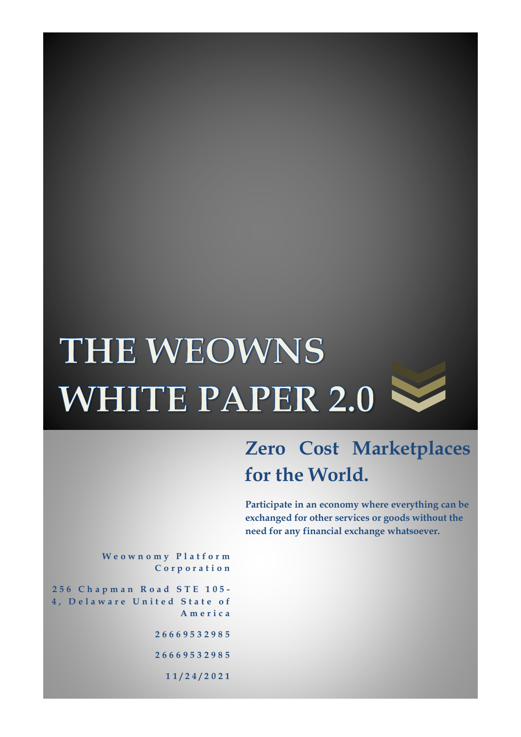# **THE WEOWNS WHITE PAPER 2.0** V



## **Zero Cost Marketplaces for the World.**

**Participate in an economy where everything can be exchanged for other services or goods without the need for any financial exchange whatsoever.**

**W e o w n o m y P l a t f o r m C o r p o r a t i o n**

**2 5 6 C h a p m a n R o a d S T E 1 0 5 - 4, Delaware United State of A m e r i c a 2 6 6 6 9 5 3 2 9 8 5 2 6 6 6 9 5 3 2 9 8 5 1 1 / 2 4 / 2 0 2 1**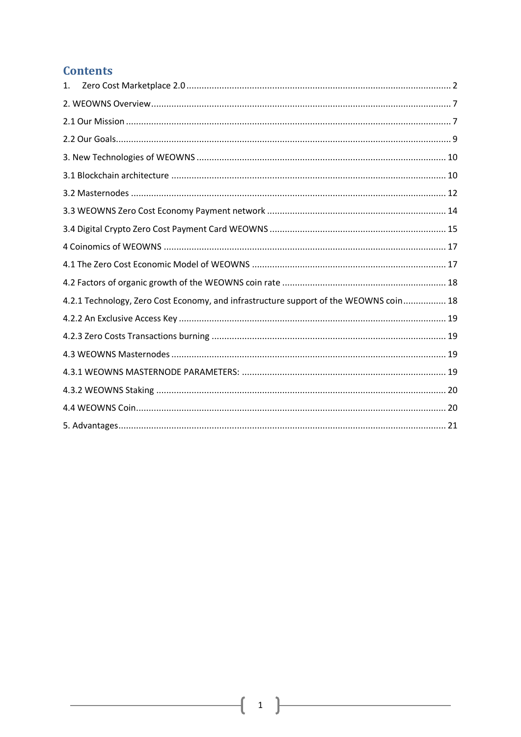#### **Contents**

| 1.                                                                                    |  |
|---------------------------------------------------------------------------------------|--|
|                                                                                       |  |
|                                                                                       |  |
|                                                                                       |  |
|                                                                                       |  |
|                                                                                       |  |
|                                                                                       |  |
|                                                                                       |  |
|                                                                                       |  |
|                                                                                       |  |
|                                                                                       |  |
|                                                                                       |  |
| 4.2.1 Technology, Zero Cost Economy, and infrastructure support of the WEOWNS coin 18 |  |
|                                                                                       |  |
|                                                                                       |  |
|                                                                                       |  |
|                                                                                       |  |
|                                                                                       |  |
|                                                                                       |  |
|                                                                                       |  |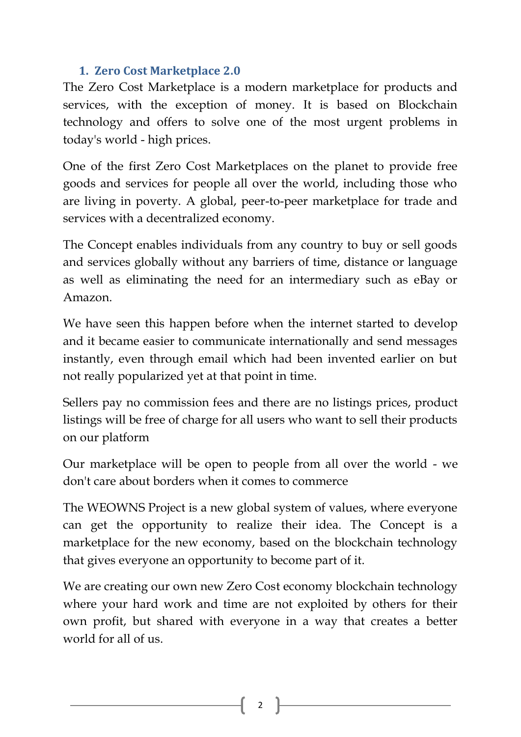#### **1. Zero Cost Marketplace 2.0**

<span id="page-2-0"></span>The Zero Cost Marketplace is a modern marketplace for products and services, with the exception of money. It is based on Blockchain technology and offers to solve one of the most urgent problems in today's world - high prices.

One of the first Zero Cost Marketplaces on the planet to provide free goods and services for people all over the world, including those who are living in poverty. A global, peer-to-peer marketplace for trade and services with a decentralized economy.

The Concept enables individuals from any country to buy or sell goods and services globally without any barriers of time, distance or language as well as eliminating the need for an intermediary such as eBay or Amazon.

We have seen this happen before when the internet started to develop and it became easier to communicate internationally and send messages instantly, even through email which had been invented earlier on but not really popularized yet at that point in time.

Sellers pay no commission fees and there are no listings prices, product listings will be free of charge for all users who want to sell their products on our platform

Our marketplace will be open to people from all over the world - we don't care about borders when it comes to commerce

The WEOWNS Project is a new global system of values, where everyone can get the opportunity to realize their idea. The Concept is a marketplace for the new economy, based on the blockchain technology that gives everyone an opportunity to become part of it.

We are creating our own new Zero Cost economy blockchain technology where your hard work and time are not exploited by others for their own profit, but shared with everyone in a way that creates a better world for all of us.

2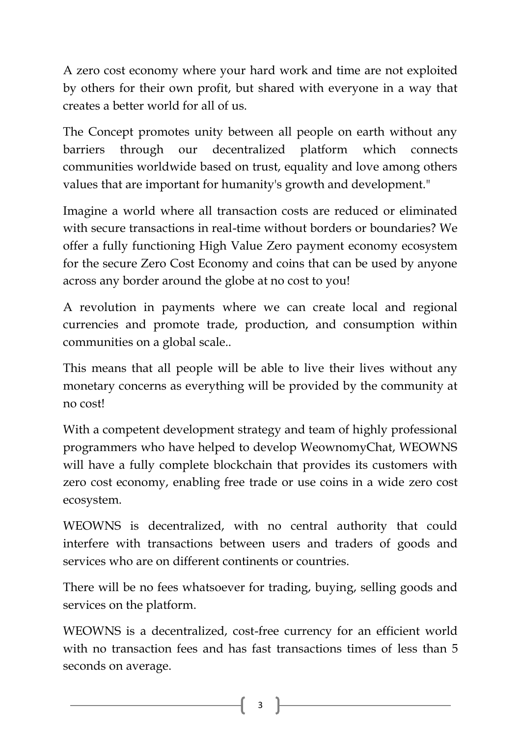A zero cost economy where your hard work and time are not exploited by others for their own profit, but shared with everyone in a way that creates a better world for all of us.

The Concept promotes unity between all people on earth without any barriers through our decentralized platform which connects communities worldwide based on trust, equality and love among others values that are important for humanity's growth and development."

Imagine a world where all transaction costs are reduced or eliminated with secure transactions in real-time without borders or boundaries? We offer a fully functioning High Value Zero payment economy ecosystem for the secure Zero Cost Economy and coins that can be used by anyone across any border around the globe at no cost to you!

A revolution in payments where we can create local and regional currencies and promote trade, production, and consumption within communities on a global scale..

This means that all people will be able to live their lives without any monetary concerns as everything will be provided by the community at no cost!

With a competent development strategy and team of highly professional programmers who have helped to develop WeownomyChat, WEOWNS will have a fully complete blockchain that provides its customers with zero cost economy, enabling free trade or use coins in a wide zero cost ecosystem.

WEOWNS is decentralized, with no central authority that could interfere with transactions between users and traders of goods and services who are on different continents or countries.

There will be no fees whatsoever for trading, buying, selling goods and services on the platform.

WEOWNS is a decentralized, cost-free currency for an efficient world with no transaction fees and has fast transactions times of less than 5 seconds on average.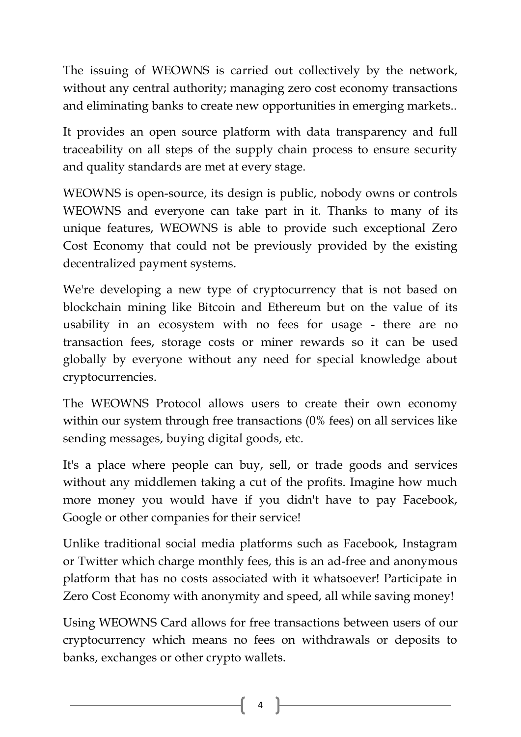The issuing of WEOWNS is carried out collectively by the network, without any central authority; managing zero cost economy transactions and eliminating banks to create new opportunities in emerging markets..

It provides an open source platform with data transparency and full traceability on all steps of the supply chain process to ensure security and quality standards are met at every stage.

WEOWNS is open-source, its design is public, nobody owns or controls WEOWNS and everyone can take part in it. Thanks to many of its unique features, WEOWNS is able to provide such exceptional Zero Cost Economy that could not be previously provided by the existing decentralized payment systems.

We're developing a new type of cryptocurrency that is not based on blockchain mining like Bitcoin and Ethereum but on the value of its usability in an ecosystem with no fees for usage - there are no transaction fees, storage costs or miner rewards so it can be used globally by everyone without any need for special knowledge about cryptocurrencies.

The WEOWNS Protocol allows users to create their own economy within our system through free transactions (0% fees) on all services like sending messages, buying digital goods, etc.

It's a place where people can buy, sell, or trade goods and services without any middlemen taking a cut of the profits. Imagine how much more money you would have if you didn't have to pay Facebook, Google or other companies for their service!

Unlike traditional social media platforms such as Facebook, Instagram or Twitter which charge monthly fees, this is an ad-free and anonymous platform that has no costs associated with it whatsoever! Participate in Zero Cost Economy with anonymity and speed, all while saving money!

Using WEOWNS Card allows for free transactions between users of our cryptocurrency which means no fees on withdrawals or deposits to banks, exchanges or other crypto wallets.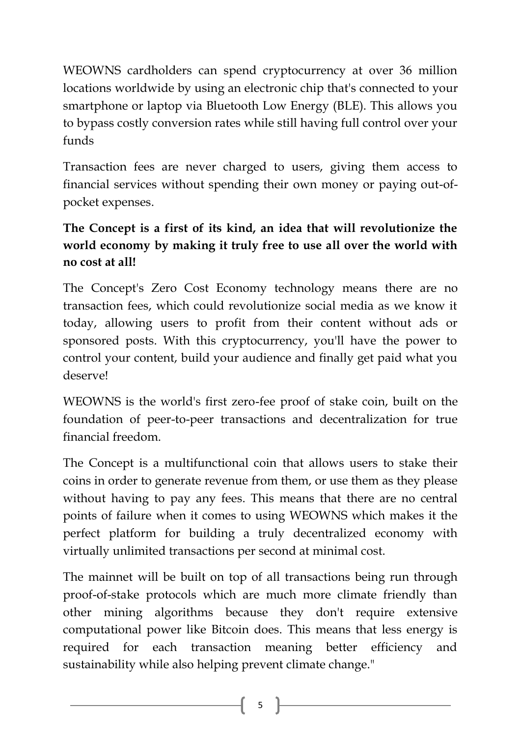WEOWNS cardholders can spend cryptocurrency at over 36 million locations worldwide by using an electronic chip that's connected to your smartphone or laptop via Bluetooth Low Energy (BLE). This allows you to bypass costly conversion rates while still having full control over your funds

Transaction fees are never charged to users, giving them access to financial services without spending their own money or paying out-ofpocket expenses.

## **The Concept is a first of its kind, an idea that will revolutionize the world economy by making it truly free to use all over the world with no cost at all!**

The Concept's Zero Cost Economy technology means there are no transaction fees, which could revolutionize social media as we know it today, allowing users to profit from their content without ads or sponsored posts. With this cryptocurrency, you'll have the power to control your content, build your audience and finally get paid what you deserve!

WEOWNS is the world's first zero-fee proof of stake coin, built on the foundation of peer-to-peer transactions and decentralization for true financial freedom.

The Concept is a multifunctional coin that allows users to stake their coins in order to generate revenue from them, or use them as they please without having to pay any fees. This means that there are no central points of failure when it comes to using WEOWNS which makes it the perfect platform for building a truly decentralized economy with virtually unlimited transactions per second at minimal cost.

The mainnet will be built on top of all transactions being run through proof-of-stake protocols which are much more climate friendly than other mining algorithms because they don't require extensive computational power like Bitcoin does. This means that less energy is required for each transaction meaning better efficiency and sustainability while also helping prevent climate change."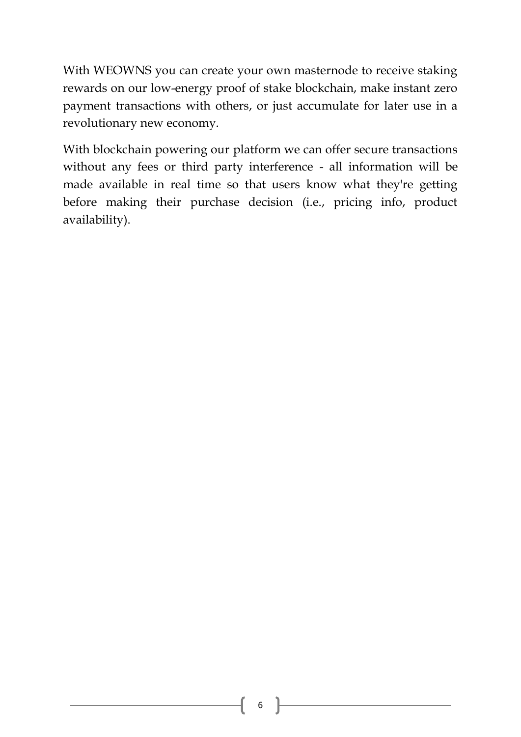With WEOWNS you can create your own masternode to receive staking rewards on our low-energy proof of stake blockchain, make instant zero payment transactions with others, or just accumulate for later use in a revolutionary new economy.

With blockchain powering our platform we can offer secure transactions without any fees or third party interference - all information will be made available in real time so that users know what they're getting before making their purchase decision (i.e., pricing info, product availability).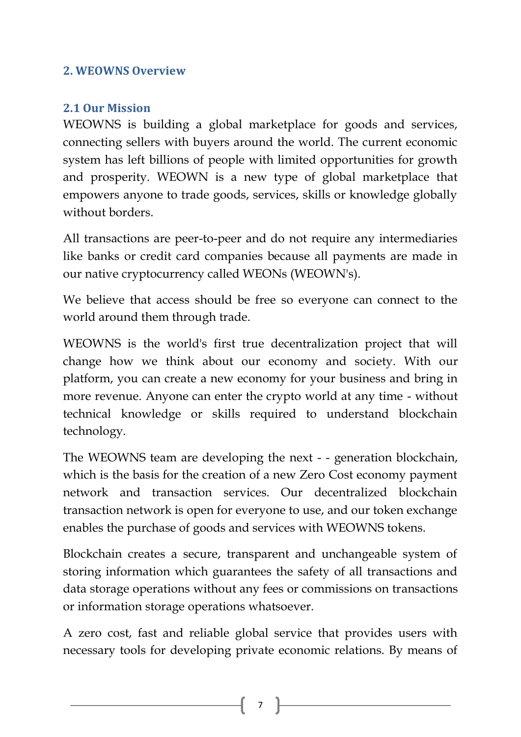#### <span id="page-7-1"></span><span id="page-7-0"></span>**2. WEOWNS Overview**

#### **2.1 Our Mission**

WEOWNS is building a global marketplace for goods and services, connecting sellers with buyers around the world. The current economic system has left billions of people with limited opportunities for growth and prosperity. WEOWN is a new type of global marketplace that empowers anyone to trade goods, services, skills or knowledge globally without borders.

All transactions are peer-to-peer and do not require any intermediaries like banks or credit card companies because all payments are made in our native cryptocurrency called WEONs (WEOWN's).

We believe that access should be free so everyone can connect to the world around them through trade.

WEOWNS is the world's first true decentralization project that will change how we think about our economy and society. With our platform, you can create a new economy for your business and bring in more revenue. Anyone can enter the crypto world at any time - without technical knowledge or skills required to understand blockchain technology.

The WEOWNS team are developing the next - - generation blockchain, which is the basis for the creation of a new Zero Cost economy payment network and transaction services. Our decentralized blockchain transaction network is open for everyone to use, and our token exchange enables the purchase of goods and services with WEOWNS tokens.

Blockchain creates a secure, transparent and unchangeable system of storing information which guarantees the safety of all transactions and data storage operations without any fees or commissions on transactions or information storage operations whatsoever.

A zero cost, fast and reliable global service that provides users with necessary tools for developing private economic relations. By means of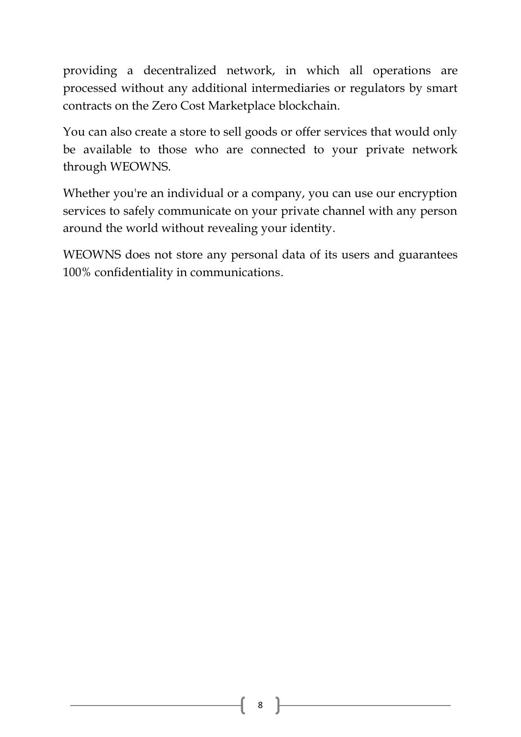providing a decentralized network, in which all operations are processed without any additional intermediaries or regulators by smart contracts on the Zero Cost Marketplace blockchain.

You can also create a store to sell goods or offer services that would only be available to those who are connected to your private network through WEOWNS.

Whether you're an individual or a company, you can use our encryption services to safely communicate on your private channel with any person around the world without revealing your identity.

WEOWNS does not store any personal data of its users and guarantees 100% confidentiality in communications.

8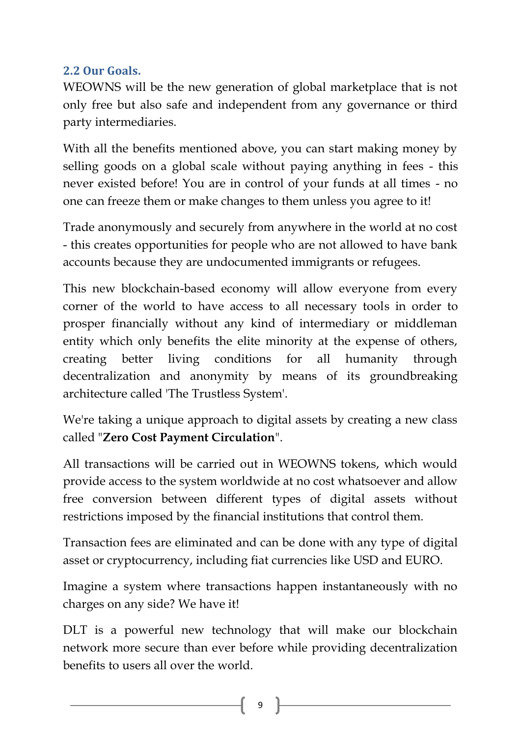## <span id="page-9-0"></span>**2.2 Our Goals.**

WEOWNS will be the new generation of global marketplace that is not only free but also safe and independent from any governance or third party intermediaries.

With all the benefits mentioned above, you can start making money by selling goods on a global scale without paying anything in fees - this never existed before! You are in control of your funds at all times - no one can freeze them or make changes to them unless you agree to it!

Trade anonymously and securely from anywhere in the world at no cost - this creates opportunities for people who are not allowed to have bank accounts because they are undocumented immigrants or refugees.

This new blockchain-based economy will allow everyone from every corner of the world to have access to all necessary tools in order to prosper financially without any kind of intermediary or middleman entity which only benefits the elite minority at the expense of others, creating better living conditions for all humanity through decentralization and anonymity by means of its groundbreaking architecture called 'The Trustless System'.

We're taking a unique approach to digital assets by creating a new class called "**Zero Cost Payment Circulation**".

All transactions will be carried out in WEOWNS tokens, which would provide access to the system worldwide at no cost whatsoever and allow free conversion between different types of digital assets without restrictions imposed by the financial institutions that control them.

Transaction fees are eliminated and can be done with any type of digital asset or cryptocurrency, including fiat currencies like USD and EURO.

Imagine a system where transactions happen instantaneously with no charges on any side? We have it!

DLT is a powerful new technology that will make our blockchain network more secure than ever before while providing decentralization benefits to users all over the world.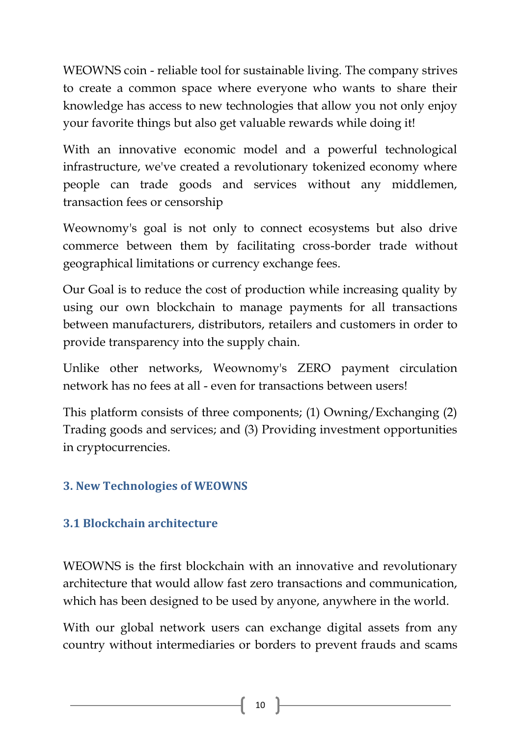WEOWNS coin - reliable tool for sustainable living. The company strives to create a common space where everyone who wants to share their knowledge has access to new technologies that allow you not only enjoy your favorite things but also get valuable rewards while doing it!

With an innovative economic model and a powerful technological infrastructure, we've created a revolutionary tokenized economy where people can trade goods and services without any middlemen, transaction fees or censorship

Weownomy's goal is not only to connect ecosystems but also drive commerce between them by facilitating cross-border trade without geographical limitations or currency exchange fees.

Our Goal is to reduce the cost of production while increasing quality by using our own blockchain to manage payments for all transactions between manufacturers, distributors, retailers and customers in order to provide transparency into the supply chain.

Unlike other networks, Weownomy's ZERO payment circulation network has no fees at all - even for transactions between users!

This platform consists of three components; (1) Owning/Exchanging (2) Trading goods and services; and (3) Providing investment opportunities in cryptocurrencies.

## <span id="page-10-1"></span><span id="page-10-0"></span>**3. New Technologies of WEOWNS**

## **3.1 Blockchain architecture**

WEOWNS is the first blockchain with an innovative and revolutionary architecture that would allow fast zero transactions and communication, which has been designed to be used by anyone, anywhere in the world.

With our global network users can exchange digital assets from any country without intermediaries or borders to prevent frauds and scams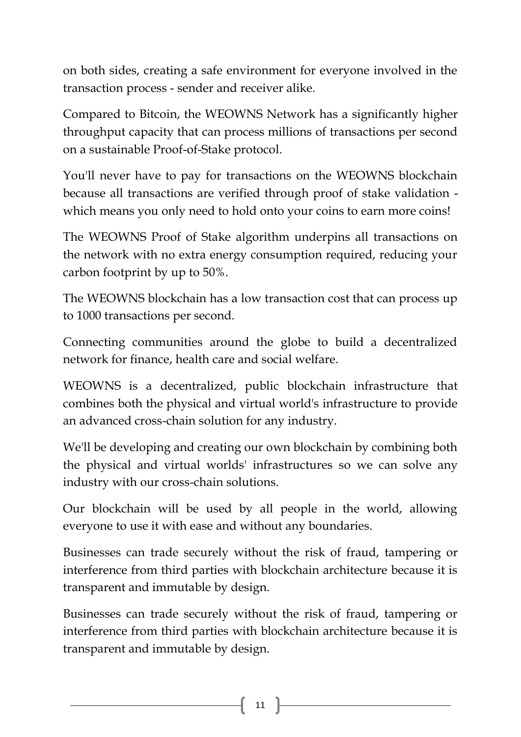on both sides, creating a safe environment for everyone involved in the transaction process - sender and receiver alike.

Compared to Bitcoin, the WEOWNS Network has a significantly higher throughput capacity that can process millions of transactions per second on a sustainable Proof-of-Stake protocol.

You'll never have to pay for transactions on the WEOWNS blockchain because all transactions are verified through proof of stake validation which means you only need to hold onto your coins to earn more coins!

The WEOWNS Proof of Stake algorithm underpins all transactions on the network with no extra energy consumption required, reducing your carbon footprint by up to 50%.

The WEOWNS blockchain has a low transaction cost that can process up to 1000 transactions per second.

Connecting communities around the globe to build a decentralized network for finance, health care and social welfare.

WEOWNS is a decentralized, public blockchain infrastructure that combines both the physical and virtual world's infrastructure to provide an advanced cross-chain solution for any industry.

We'll be developing and creating our own blockchain by combining both the physical and virtual worlds' infrastructures so we can solve any industry with our cross-chain solutions.

Our blockchain will be used by all people in the world, allowing everyone to use it with ease and without any boundaries.

Businesses can trade securely without the risk of fraud, tampering or interference from third parties with blockchain architecture because it is transparent and immutable by design.

Businesses can trade securely without the risk of fraud, tampering or interference from third parties with blockchain architecture because it is transparent and immutable by design.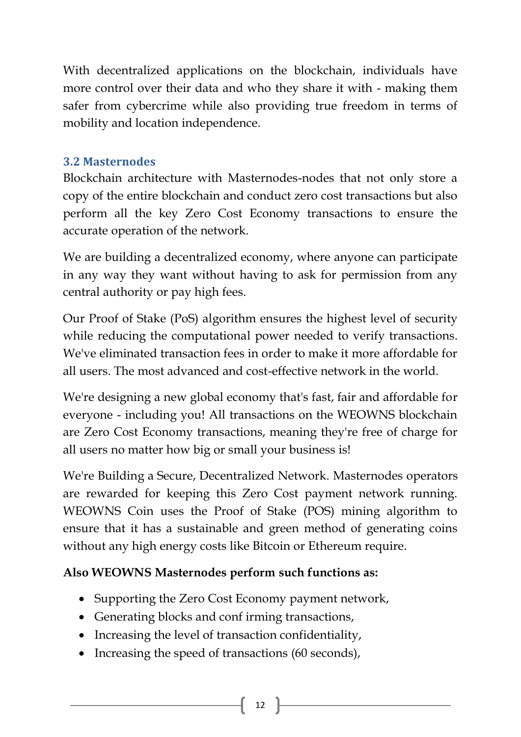With decentralized applications on the blockchain, individuals have more control over their data and who they share it with - making them safer from cybercrime while also providing true freedom in terms of mobility and location independence.

## <span id="page-12-0"></span>**3.2 Masternodes**

Blockchain architecture with Masternodes-nodes that not only store a copy of the entire blockchain and conduct zero cost transactions but also perform all the key Zero Cost Economy transactions to ensure the accurate operation of the network.

We are building a decentralized economy, where anyone can participate in any way they want without having to ask for permission from any central authority or pay high fees.

Our Proof of Stake (PoS) algorithm ensures the highest level of security while reducing the computational power needed to verify transactions. We've eliminated transaction fees in order to make it more affordable for all users. The most advanced and cost-effective network in the world.

We're designing a new global economy that's fast, fair and affordable for everyone - including you! All transactions on the WEOWNS blockchain are Zero Cost Economy transactions, meaning they're free of charge for all users no matter how big or small your business is!

We're Building a Secure, Decentralized Network. Masternodes operators are rewarded for keeping this Zero Cost payment network running. WEOWNS Coin uses the Proof of Stake (POS) mining algorithm to ensure that it has a sustainable and green method of generating coins without any high energy costs like Bitcoin or Ethereum require.

## **Also WEOWNS Masternodes perform such functions as:**

- Supporting the Zero Cost Economy payment network,
- Generating blocks and conf irming transactions,
- Increasing the level of transaction confidentiality,
- Increasing the speed of transactions (60 seconds),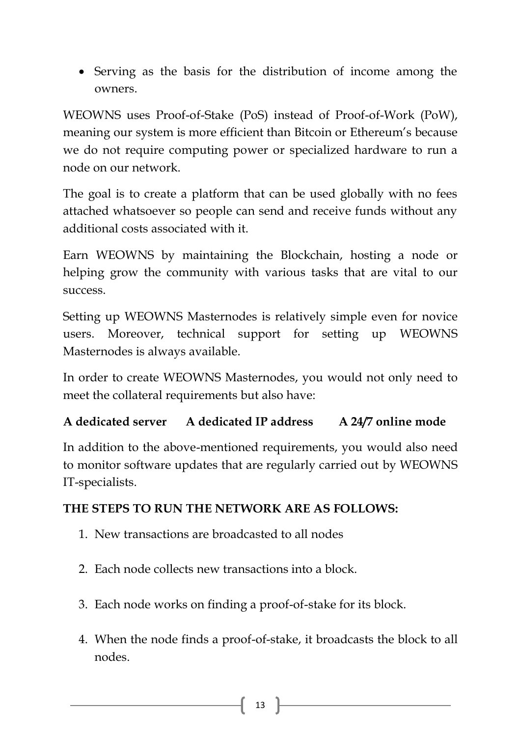Serving as the basis for the distribution of income among the owners.

WEOWNS uses Proof-of-Stake (PoS) instead of Proof-of-Work (PoW), meaning our system is more efficient than Bitcoin or Ethereum's because we do not require computing power or specialized hardware to run a node on our network.

The goal is to create a platform that can be used globally with no fees attached whatsoever so people can send and receive funds without any additional costs associated with it.

Earn WEOWNS by maintaining the Blockchain, hosting a node or helping grow the community with various tasks that are vital to our success.

Setting up WEOWNS Masternodes is relatively simple even for novice users. Moreover, technical support for setting up WEOWNS Masternodes is always available.

In order to create WEOWNS Masternodes, you would not only need to meet the collateral requirements but also have:

## **A dedicated server A dedicated IP address A 24/7 online mode**

In addition to the above-mentioned requirements, you would also need to monitor software updates that are regularly carried out by WEOWNS IT-specialists.

## **THE STEPS TO RUN THE NETWORK ARE AS FOLLOWS:**

- 1. New transactions are broadcasted to all nodes
- 2. Each node collects new transactions into a block.
- 3. Each node works on finding a proof-of-stake for its block.
- 4. When the node finds a proof-of-stake, it broadcasts the block to all nodes.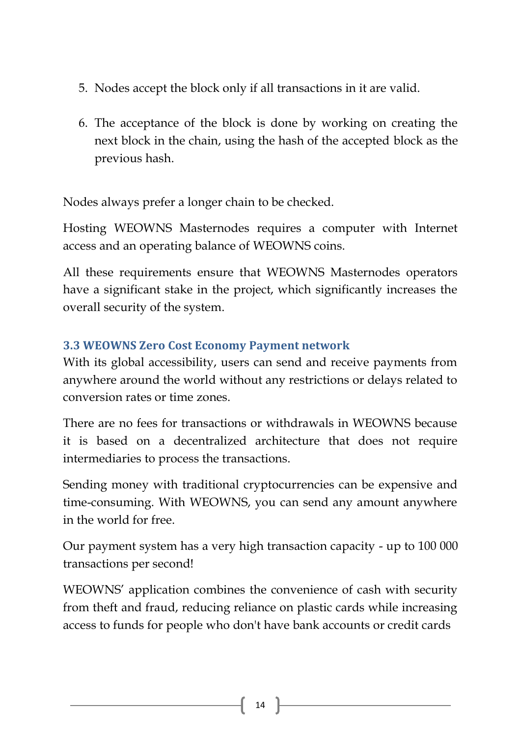- 5. Nodes accept the block only if all transactions in it are valid.
- 6. The acceptance of the block is done by working on creating the next block in the chain, using the hash of the accepted block as the previous hash.

Nodes always prefer a longer chain to be checked.

Hosting WEOWNS Masternodes requires a computer with Internet access and an operating balance of WEOWNS coins.

All these requirements ensure that WEOWNS Masternodes operators have a significant stake in the project, which significantly increases the overall security of the system.

## <span id="page-14-0"></span>**3.3 WEOWNS Zero Cost Economy Payment network**

With its global accessibility, users can send and receive payments from anywhere around the world without any restrictions or delays related to conversion rates or time zones.

There are no fees for transactions or withdrawals in WEOWNS because it is based on a decentralized architecture that does not require intermediaries to process the transactions.

Sending money with traditional cryptocurrencies can be expensive and time-consuming. With WEOWNS, you can send any amount anywhere in the world for free.

Our payment system has a very high transaction capacity - up to 100 000 transactions per second!

WEOWNS' application combines the convenience of cash with security from theft and fraud, reducing reliance on plastic cards while increasing access to funds for people who don't have bank accounts or credit cards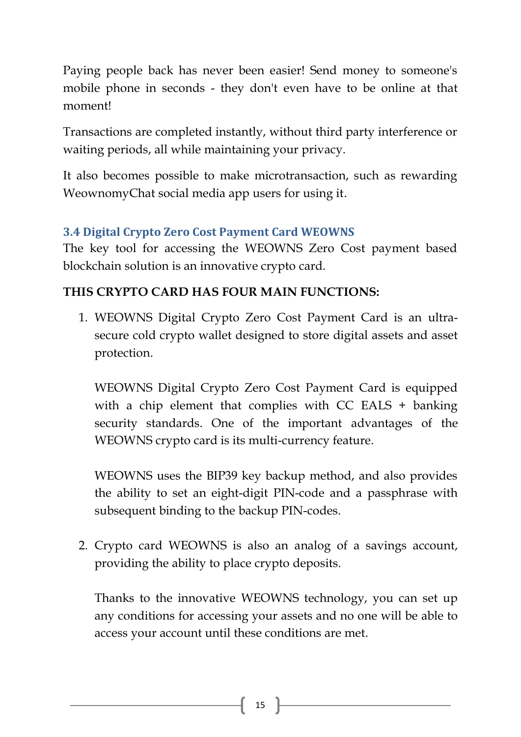Paying people back has never been easier! Send money to someone's mobile phone in seconds - they don't even have to be online at that moment!

Transactions are completed instantly, without third party interference or waiting periods, all while maintaining your privacy.

It also becomes possible to make microtransaction, such as rewarding WeownomyChat social media app users for using it.

## <span id="page-15-0"></span>**3.4 Digital Crypto Zero Cost Payment Card WEOWNS**

The key tool for accessing the WEOWNS Zero Cost payment based blockchain solution is an innovative crypto card.

## **THIS CRYPTO CARD HAS FOUR MAIN FUNCTIONS:**

1. WEOWNS Digital Crypto Zero Cost Payment Card is an ultrasecure cold crypto wallet designed to store digital assets and asset protection.

WEOWNS Digital Crypto Zero Cost Payment Card is equipped with a chip element that complies with CC EALS + banking security standards. One of the important advantages of the WEOWNS crypto card is its multi-currency feature.

WEOWNS uses the BIP39 key backup method, and also provides the ability to set an eight-digit PIN-code and a passphrase with subsequent binding to the backup PIN-codes.

2. Crypto card WEOWNS is also an analog of a savings account, providing the ability to place crypto deposits.

Thanks to the innovative WEOWNS technology, you can set up any conditions for accessing your assets and no one will be able to access your account until these conditions are met.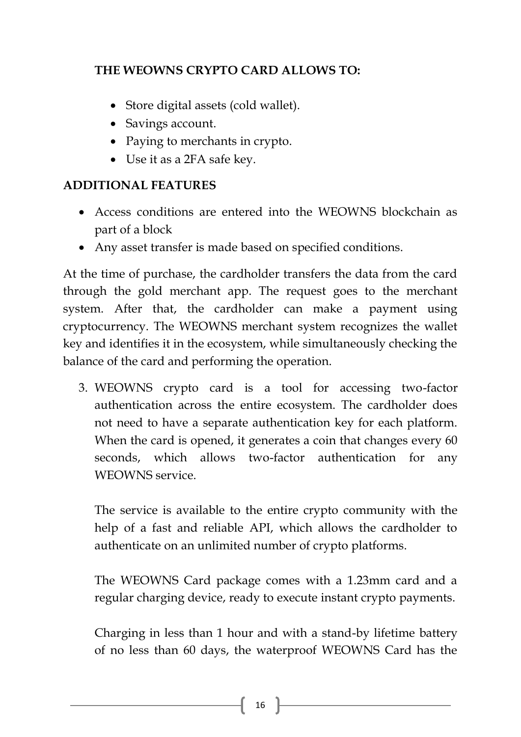## **THE WEOWNS CRYPTO CARD ALLOWS TO:**

- Store digital assets (cold wallet).
- Savings account.
- Paying to merchants in crypto.
- Use it as a 2FA safe key.

## **ADDITIONAL FEATURES**

- Access conditions are entered into the WEOWNS blockchain as part of a block
- Any asset transfer is made based on specified conditions.

At the time of purchase, the cardholder transfers the data from the card through the gold merchant app. The request goes to the merchant system. After that, the cardholder can make a payment using cryptocurrency. The WEOWNS merchant system recognizes the wallet key and identifies it in the ecosystem, while simultaneously checking the balance of the card and performing the operation.

3. WEOWNS crypto card is a tool for accessing two-factor authentication across the entire ecosystem. The cardholder does not need to have a separate authentication key for each platform. When the card is opened, it generates a coin that changes every 60 seconds, which allows two-factor authentication for any WEOWNS service.

The service is available to the entire crypto community with the help of a fast and reliable API, which allows the cardholder to authenticate on an unlimited number of crypto platforms.

The WEOWNS Card package comes with a 1.23mm card and a regular charging device, ready to execute instant crypto payments.

Charging in less than 1 hour and with a stand-by lifetime battery of no less than 60 days, the waterproof WEOWNS Card has the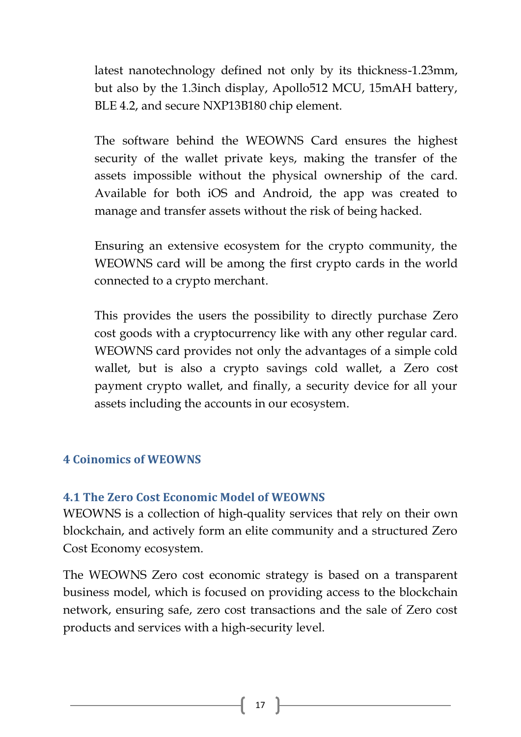latest nanotechnology defined not only by its thickness-1.23mm, but also by the 1.3inch display, Apollo512 MCU, 15mAH battery, BLE 4.2, and secure NXP13B180 chip element.

The software behind the WEOWNS Card ensures the highest security of the wallet private keys, making the transfer of the assets impossible without the physical ownership of the card. Available for both iOS and Android, the app was created to manage and transfer assets without the risk of being hacked.

Ensuring an extensive ecosystem for the crypto community, the WEOWNS card will be among the first crypto cards in the world connected to a crypto merchant.

This provides the users the possibility to directly purchase Zero cost goods with a cryptocurrency like with any other regular card. WEOWNS card provides not only the advantages of a simple cold wallet, but is also a crypto savings cold wallet, a Zero cost payment crypto wallet, and finally, a security device for all your assets including the accounts in our ecosystem.

#### <span id="page-17-1"></span><span id="page-17-0"></span>**4 Coinomics of WEOWNS**

#### **4.1 The Zero Cost Economic Model of WEOWNS**

WEOWNS is a collection of high-quality services that rely on their own blockchain, and actively form an elite community and a structured Zero Cost Economy ecosystem.

The WEOWNS Zero cost economic strategy is based on a transparent business model, which is focused on providing access to the blockchain network, ensuring safe, zero cost transactions and the sale of Zero cost products and services with a high-security level.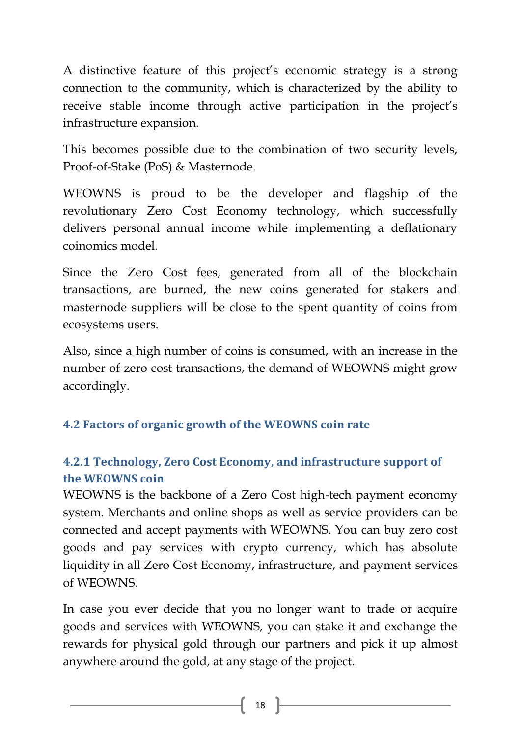A distinctive feature of this project's economic strategy is a strong connection to the community, which is characterized by the ability to receive stable income through active participation in the project's infrastructure expansion.

This becomes possible due to the combination of two security levels, Proof-of-Stake (PoS) & Masternode.

WEOWNS is proud to be the developer and flagship of the revolutionary Zero Cost Economy technology, which successfully delivers personal annual income while implementing a deflationary coinomics model.

Since the Zero Cost fees, generated from all of the blockchain transactions, are burned, the new coins generated for stakers and masternode suppliers will be close to the spent quantity of coins from ecosystems users.

Also, since a high number of coins is consumed, with an increase in the number of zero cost transactions, the demand of WEOWNS might grow accordingly.

## <span id="page-18-1"></span><span id="page-18-0"></span>**4.2 Factors of organic growth of the WEOWNS coin rate**

## **4.2.1 Technology, Zero Cost Economy, and infrastructure support of the WEOWNS coin**

WEOWNS is the backbone of a Zero Cost high-tech payment economy system. Merchants and online shops as well as service providers can be connected and accept payments with WEOWNS. You can buy zero cost goods and pay services with crypto currency, which has absolute liquidity in all Zero Cost Economy, infrastructure, and payment services of WEOWNS.

In case you ever decide that you no longer want to trade or acquire goods and services with WEOWNS, you can stake it and exchange the rewards for physical gold through our partners and pick it up almost anywhere around the gold, at any stage of the project.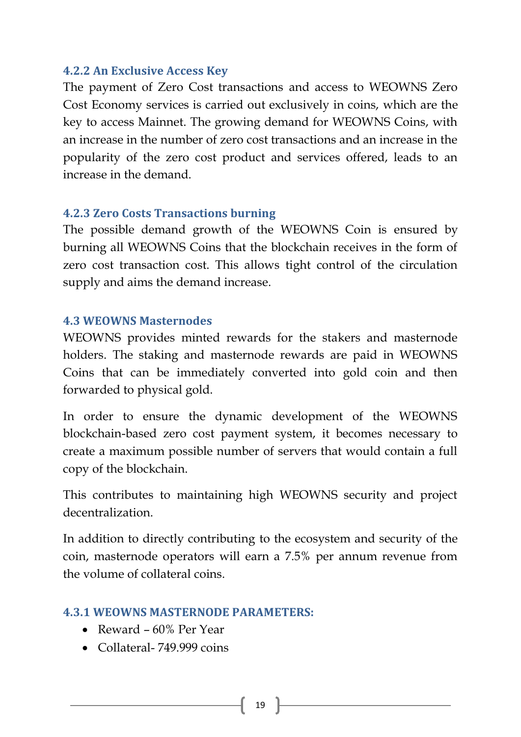#### <span id="page-19-0"></span>**4.2.2 An Exclusive Access Key**

The payment of Zero Cost transactions and access to WEOWNS Zero Cost Economy services is carried out exclusively in coins, which are the key to access Mainnet. The growing demand for WEOWNS Coins, with an increase in the number of zero cost transactions and an increase in the popularity of the zero cost product and services offered, leads to an increase in the demand.

#### <span id="page-19-1"></span>**4.2.3 Zero Costs Transactions burning**

The possible demand growth of the WEOWNS Coin is ensured by burning all WEOWNS Coins that the blockchain receives in the form of zero cost transaction cost. This allows tight control of the circulation supply and aims the demand increase.

#### <span id="page-19-2"></span>**4.3 WEOWNS Masternodes**

WEOWNS provides minted rewards for the stakers and masternode holders. The staking and masternode rewards are paid in WEOWNS Coins that can be immediately converted into gold coin and then forwarded to physical gold.

In order to ensure the dynamic development of the WEOWNS blockchain-based zero cost payment system, it becomes necessary to create a maximum possible number of servers that would contain a full copy of the blockchain.

This contributes to maintaining high WEOWNS security and project decentralization.

In addition to directly contributing to the ecosystem and security of the coin, masternode operators will earn a 7.5% per annum revenue from the volume of collateral coins.

#### <span id="page-19-3"></span>**4.3.1 WEOWNS MASTERNODE PARAMETERS:**

- Reward 60% Per Year
- Collateral- 749.999 coins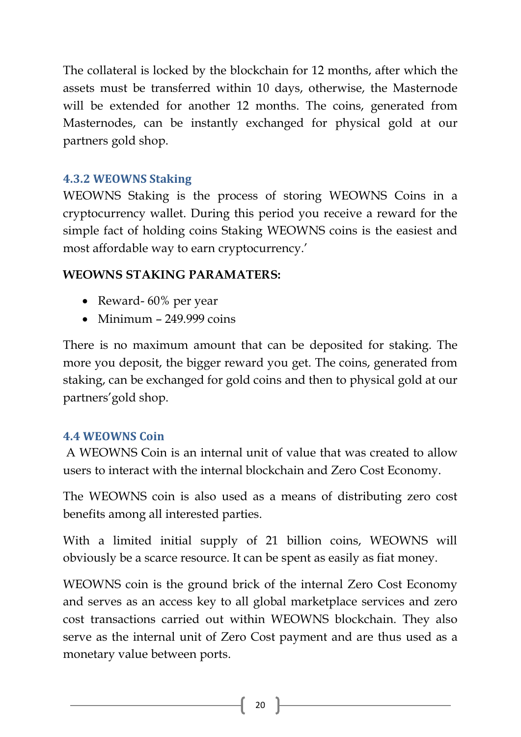The collateral is locked by the blockchain for 12 months, after which the assets must be transferred within 10 days, otherwise, the Masternode will be extended for another 12 months. The coins, generated from Masternodes, can be instantly exchanged for physical gold at our partners gold shop.

## <span id="page-20-0"></span>**4.3.2 WEOWNS Staking**

WEOWNS Staking is the process of storing WEOWNS Coins in a cryptocurrency wallet. During this period you receive a reward for the simple fact of holding coins Staking WEOWNS coins is the easiest and most affordable way to earn cryptocurrency.'

## **WEOWNS STAKING PARAMATERS:**

- Reward- 60% per year
- $\bullet$  Minimum 249.999 coins

There is no maximum amount that can be deposited for staking. The more you deposit, the bigger reward you get. The coins, generated from staking, can be exchanged for gold coins and then to physical gold at our partners'gold shop.

## <span id="page-20-1"></span>**4.4 WEOWNS Coin**

A WEOWNS Coin is an internal unit of value that was created to allow users to interact with the internal blockchain and Zero Cost Economy.

The WEOWNS coin is also used as a means of distributing zero cost benefits among all interested parties.

With a limited initial supply of 21 billion coins, WEOWNS will obviously be a scarce resource. It can be spent as easily as fiat money.

WEOWNS coin is the ground brick of the internal Zero Cost Economy and serves as an access key to all global marketplace services and zero cost transactions carried out within WEOWNS blockchain. They also serve as the internal unit of Zero Cost payment and are thus used as a monetary value between ports.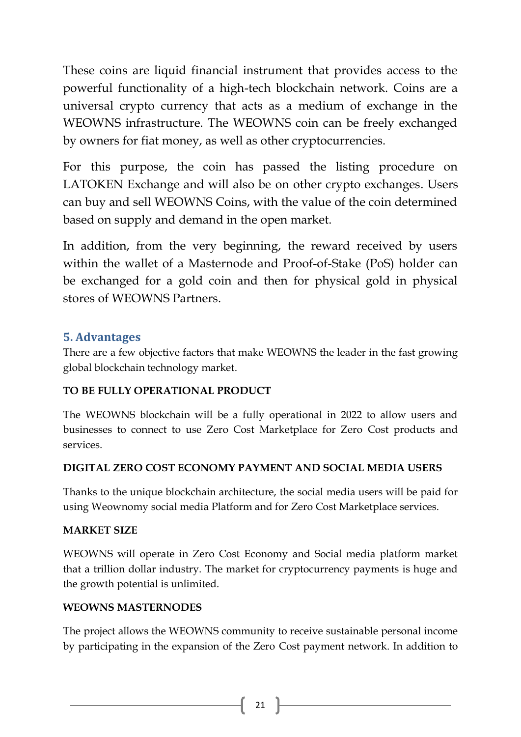These coins are liquid financial instrument that provides access to the powerful functionality of a high-tech blockchain network. Coins are a universal crypto currency that acts as a medium of exchange in the WEOWNS infrastructure. The WEOWNS coin can be freely exchanged by owners for fiat money, as well as other cryptocurrencies.

For this purpose, the coin has passed the listing procedure on LATOKEN Exchange and will also be on other crypto exchanges. Users can buy and sell WEOWNS Coins, with the value of the coin determined based on supply and demand in the open market.

In addition, from the very beginning, the reward received by users within the wallet of a Masternode and Proof-of-Stake (PoS) holder can be exchanged for a gold coin and then for physical gold in physical stores of WEOWNS Partners.

#### <span id="page-21-0"></span>**5. Advantages**

There are a few objective factors that make WEOWNS the leader in the fast growing global blockchain technology market.

#### **TO BE FULLY OPERATIONAL PRODUCT**

The WEOWNS blockchain will be a fully operational in 2022 to allow users and businesses to connect to use Zero Cost Marketplace for Zero Cost products and services.

#### **DIGITAL ZERO COST ECONOMY PAYMENT AND SOCIAL MEDIA USERS**

Thanks to the unique blockchain architecture, the social media users will be paid for using Weownomy social media Platform and for Zero Cost Marketplace services.

#### **MARKET SIZE**

WEOWNS will operate in Zero Cost Economy and Social media platform market that a trillion dollar industry. The market for cryptocurrency payments is huge and the growth potential is unlimited.

#### **WEOWNS MASTERNODES**

The project allows the WEOWNS community to receive sustainable personal income by participating in the expansion of the Zero Cost payment network. In addition to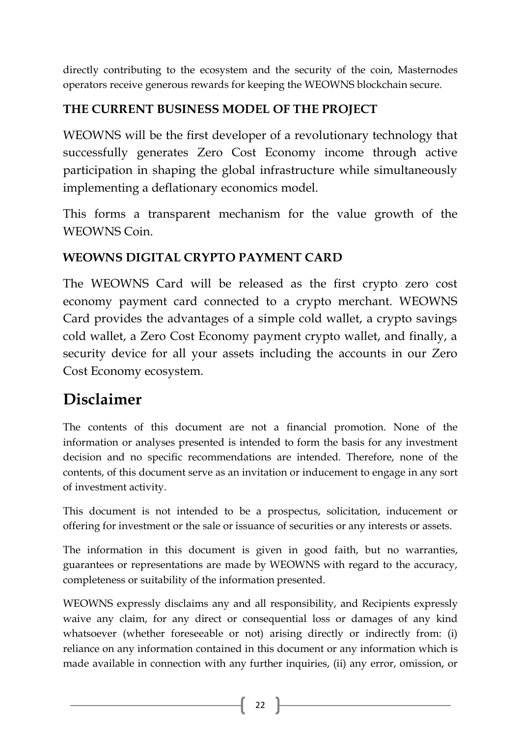directly contributing to the ecosystem and the security of the coin, Masternodes operators receive generous rewards for keeping the WEOWNS blockchain secure.

## **THE CURRENT BUSINESS MODEL OF THE PROJECT**

WEOWNS will be the first developer of a revolutionary technology that successfully generates Zero Cost Economy income through active participation in shaping the global infrastructure while simultaneously implementing a deflationary economics model.

This forms a transparent mechanism for the value growth of the WEOWNS Coin.

## **WEOWNS DIGITAL CRYPTO PAYMENT CARD**

The WEOWNS Card will be released as the first crypto zero cost economy payment card connected to a crypto merchant. WEOWNS Card provides the advantages of a simple cold wallet, a crypto savings cold wallet, a Zero Cost Economy payment crypto wallet, and finally, a security device for all your assets including the accounts in our Zero Cost Economy ecosystem.

## **Disclaimer**

The contents of this document are not a financial promotion. None of the information or analyses presented is intended to form the basis for any investment decision and no specific recommendations are intended. Therefore, none of the contents, of this document serve as an invitation or inducement to engage in any sort of investment activity.

This document is not intended to be a prospectus, solicitation, inducement or offering for investment or the sale or issuance of securities or any interests or assets.

The information in this document is given in good faith, but no warranties, guarantees or representations are made by WEOWNS with regard to the accuracy, completeness or suitability of the information presented.

WEOWNS expressly disclaims any and all responsibility, and Recipients expressly waive any claim, for any direct or consequential loss or damages of any kind whatsoever (whether foreseeable or not) arising directly or indirectly from: (i) reliance on any information contained in this document or any information which is made available in connection with any further inquiries, (ii) any error, omission, or